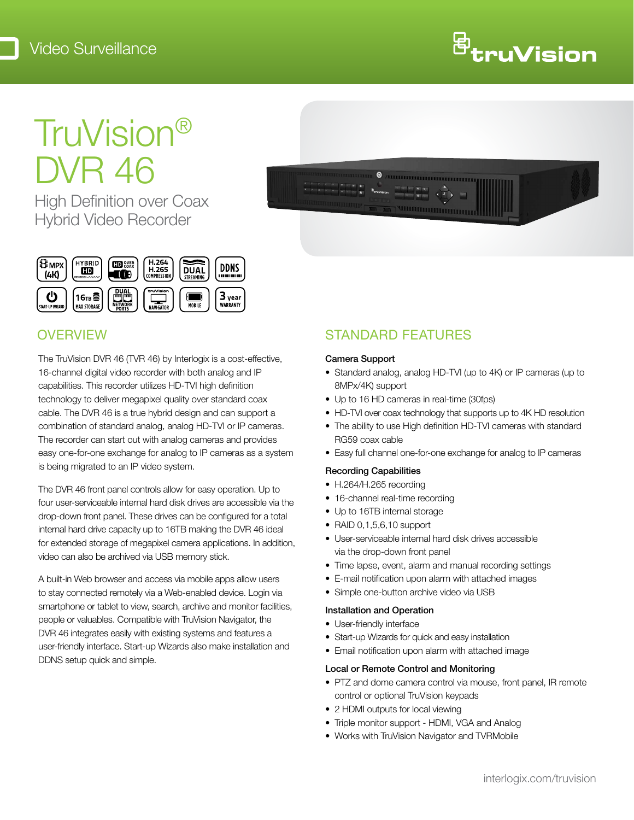# <sup>固</sup>truVision

# TruVision® DVR 46

High Definition over Coax Hybrid Video Recorder



### OVERVIEW

The TruVision DVR 46 (TVR 46) by Interlogix is a cost-effective, 16-channel digital video recorder with both analog and IP capabilities. This recorder utilizes HD-TVI high definition technology to deliver megapixel quality over standard coax cable. The DVR 46 is a true hybrid design and can support a combination of standard analog, analog HD-TVI or IP cameras. The recorder can start out with analog cameras and provides easy one-for-one exchange for analog to IP cameras as a system is being migrated to an IP video system.

The DVR 46 front panel controls allow for easy operation. Up to four user-serviceable internal hard disk drives are accessible via the drop-down front panel. These drives can be configured for a total internal hard drive capacity up to 16TB making the DVR 46 ideal for extended storage of megapixel camera applications. In addition, video can also be archived via USB memory stick.

A built-in Web browser and access via mobile apps allow users to stay connected remotely via a Web-enabled device. Login via smartphone or tablet to view, search, archive and monitor facilities, people or valuables. Compatible with TruVision Navigator, the DVR 46 integrates easily with existing systems and features a user-friendly interface. Start-up Wizards also make installation and DDNS setup quick and simple.

## STANDARD FEATURES

*<u>UNINONINO CONTINUESTINO</u>* 

#### Camera Support

- Standard analog, analog HD-TVI (up to 4K) or IP cameras (up to 8MPx/4K) support
- Up to 16 HD cameras in real-time (30fps)
- HD-TVI over coax technology that supports up to 4K HD resolution
- The ability to use High definition HD-TVI cameras with standard RG59 coax cable
- Easy full channel one-for-one exchange for analog to IP cameras

#### Recording Capabilities

- H.264/H.265 recording
- 16-channel real-time recording
- Up to 16TB internal storage
- RAID 0,1,5,6,10 support
- User-serviceable internal hard disk drives accessible via the drop-down front panel
- Time lapse, event, alarm and manual recording settings
- E-mail notification upon alarm with attached images
- Simple one-button archive video via USB

#### Installation and Operation

- User-friendly interface
- Start-up Wizards for quick and easy installation
- Email notification upon alarm with attached image

#### Local or Remote Control and Monitoring

- PTZ and dome camera control via mouse, front panel, IR remote control or optional TruVision keypads
- 2 HDMI outputs for local viewing
- Triple monitor support HDMI, VGA and Analog
- Works with TruVision Navigator and TVRMobile